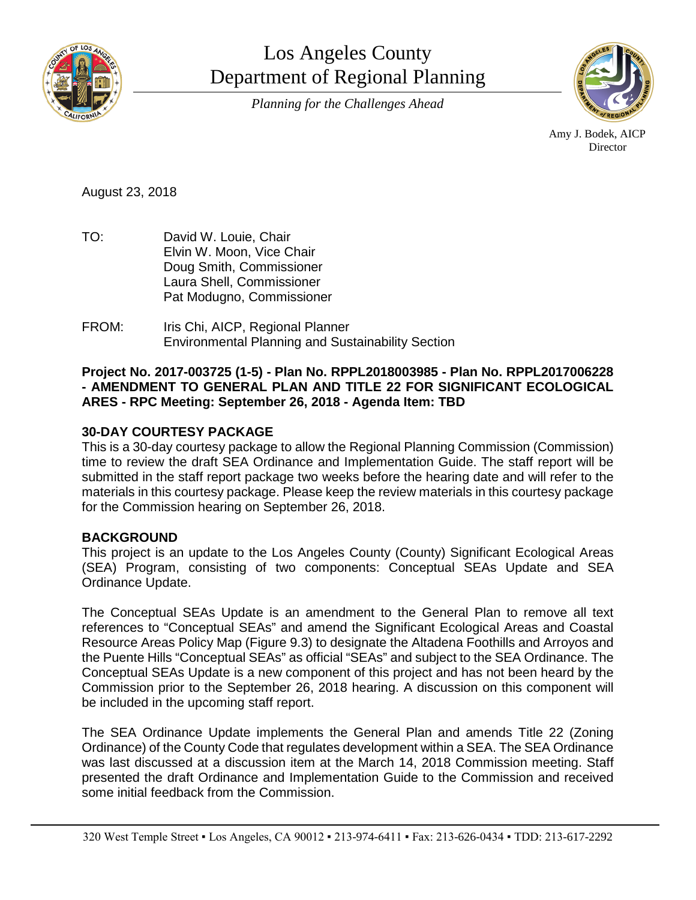

Los Angeles County Department of Regional Planning *Planning for the Challenges Ahead*



Amy J. Bodek, AICP Director

August 23, 2018

- TO: David W. Louie, Chair Elvin W. Moon, Vice Chair Doug Smith, Commissioner Laura Shell, Commissioner Pat Modugno, Commissioner
- FROM: Iris Chi, AICP, Regional Planner Environmental Planning and Sustainability Section

## **Project No. 2017-003725 (1-5) - Plan No. RPPL2018003985 - Plan No. RPPL2017006228 - AMENDMENT TO GENERAL PLAN AND TITLE 22 FOR SIGNIFICANT ECOLOGICAL ARES - RPC Meeting: September 26, 2018 - Agenda Item: TBD**

# **30-DAY COURTESY PACKAGE**

This is a 30-day courtesy package to allow the Regional Planning Commission (Commission) time to review the draft SEA Ordinance and Implementation Guide. The staff report will be submitted in the staff report package two weeks before the hearing date and will refer to the materials in this courtesy package. Please keep the review materials in this courtesy package for the Commission hearing on September 26, 2018.

## **BACKGROUND**

This project is an update to the Los Angeles County (County) Significant Ecological Areas (SEA) Program, consisting of two components: Conceptual SEAs Update and SEA Ordinance Update.

The Conceptual SEAs Update is an amendment to the General Plan to remove all text references to "Conceptual SEAs" and amend the Significant Ecological Areas and Coastal Resource Areas Policy Map (Figure 9.3) to designate the Altadena Foothills and Arroyos and the Puente Hills "Conceptual SEAs" as official "SEAs" and subject to the SEA Ordinance. The Conceptual SEAs Update is a new component of this project and has not been heard by the Commission prior to the September 26, 2018 hearing. A discussion on this component will be included in the upcoming staff report.

The SEA Ordinance Update implements the General Plan and amends Title 22 (Zoning Ordinance) of the County Code that regulates development within a SEA. The SEA Ordinance was last discussed at a discussion item at the March 14, 2018 Commission meeting. Staff presented the draft Ordinance and Implementation Guide to the Commission and received some initial feedback from the Commission.